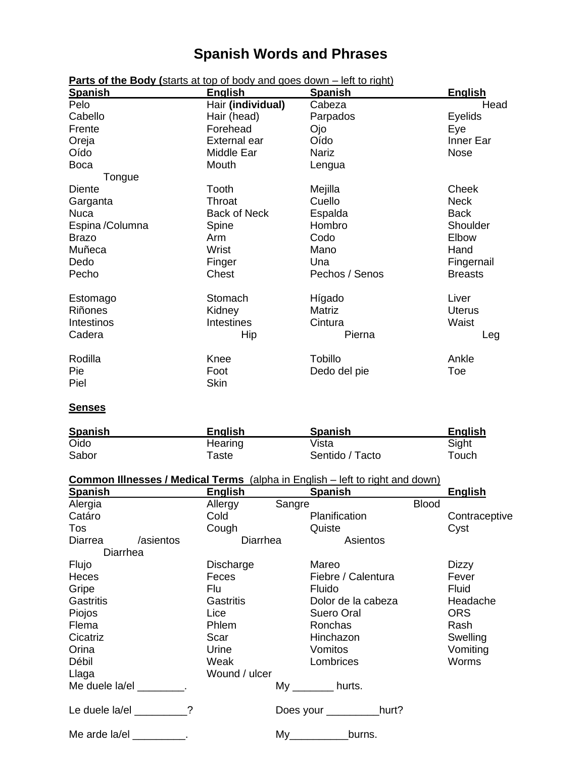## **Spanish Words and Phrases**

| <b>Spanish</b>  | <b>English</b>      | <b>Spanish</b> | <b>English</b> |
|-----------------|---------------------|----------------|----------------|
| Pelo            | Hair (individual)   | Cabeza         | Head           |
| Cabello         | Hair (head)         | Parpados       | Eyelids        |
| Frente          | Forehead            | Ojo            | Eye            |
| Oreja           | External ear        | Oído           | Inner Ear      |
| Oído            | Middle Ear          | <b>Nariz</b>   | <b>Nose</b>    |
| <b>Boca</b>     | Mouth               | Lengua         |                |
| Tongue          |                     |                |                |
| Diente          | Tooth               | Mejilla        | Cheek          |
| Garganta        | Throat              | Cuello         | <b>Neck</b>    |
| <b>Nuca</b>     | <b>Back of Neck</b> | Espalda        | <b>Back</b>    |
| Espina /Columna | Spine               | Hombro         | Shoulder       |
| <b>Brazo</b>    | Arm                 | Codo           | Elbow          |
| Muñeca          | Wrist               | Mano           | Hand           |
| Dedo            | Finger              | Una            | Fingernail     |
| Pecho           | Chest               | Pechos / Senos | <b>Breasts</b> |
| Estomago        | Stomach             | Hígado         | Liver          |
| Riñones         | Kidney              | Matriz         | <b>Uterus</b>  |
| Intestinos      | <b>Intestines</b>   | Cintura        | Waist          |
| Cadera          | Hip                 | Pierna         | Leg            |
| Rodilla         | Knee                | <b>Tobillo</b> | Ankle          |
| Pie<br>Piel     | Foot<br><b>Skin</b> | Dedo del pie   | Toe            |

**Parts of the Body (**starts at top of body and goes down – left to right)

## **Senses**

| <b>Spanish</b> | <b>English</b> | <b>Spanish</b>  | <b>English</b> |
|----------------|----------------|-----------------|----------------|
| Oido           | Hearing        | Vista           | Sight          |
| Sabor          | $\tau$ aste    | Sentido / Tacto | Touch          |

|--|

| <b>Spanish</b>            |           | English          |        | Spanish            |              | <b>English</b> |
|---------------------------|-----------|------------------|--------|--------------------|--------------|----------------|
| Alergia                   |           | Allergy          | Sangre |                    | <b>Blood</b> |                |
| Catáro                    |           | Cold             |        | Planification      |              | Contraceptive  |
| Tos                       |           | Cough            |        | Quiste             |              | Cyst           |
| Diarrea                   | /asientos | Diarrhea         |        | Asientos           |              |                |
| Diarrhea                  |           |                  |        |                    |              |                |
| Flujo                     |           | Discharge        |        | Mareo              |              | <b>Dizzy</b>   |
| Heces                     |           | Feces            |        | Fiebre / Calentura |              | Fever          |
| Gripe                     |           | Flu              |        | Fluido             |              | Fluid          |
| <b>Gastritis</b>          |           | <b>Gastritis</b> |        | Dolor de la cabeza |              | Headache       |
| Piojos                    |           | Lice             |        | Suero Oral         |              | <b>ORS</b>     |
| Flema                     |           | Phlem            |        | Ronchas            |              | Rash           |
| Cicatriz                  |           | Scar             |        | Hinchazon          |              | Swelling       |
| Orina                     |           | Urine            |        | Vomitos            |              | Vomiting       |
| Débil                     |           | Weak             |        | Lombrices          |              | <b>Worms</b>   |
| Llaga                     |           | Wound / ulcer    |        |                    |              |                |
| Me duele la/el [19] .     |           |                  |        | My hurts.          |              |                |
| Le duele la/el ________?  |           |                  |        | Does your hurt?    |              |                |
| Me arde la/el __________. |           |                  |        | burns.             |              |                |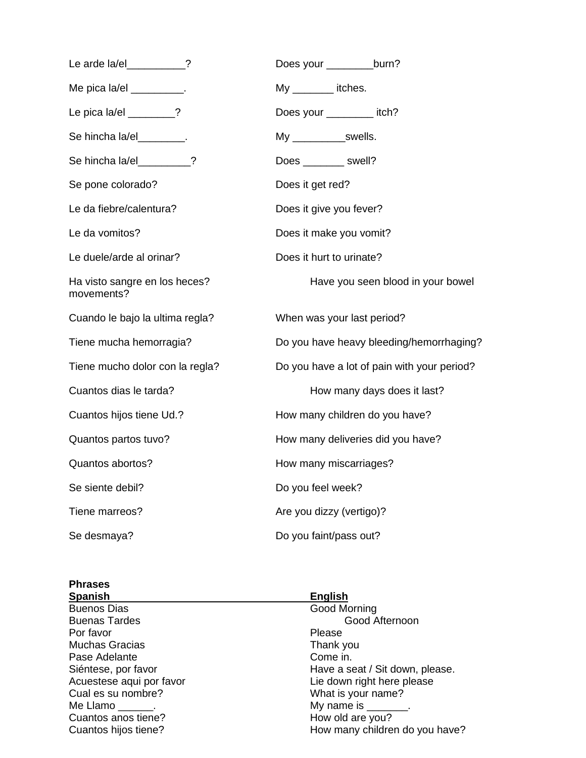| Le arde la/el ________?                     | Does your __________burn?                   |
|---------------------------------------------|---------------------------------------------|
| Me pica la/el __________.                   | My itches.                                  |
| Le pica la/el $\frac{1}{2}$ ?               | Does your __________ itch?                  |
| Se hincha la/el_________.                   | My ______________swells.                    |
| Se hincha la/el________?                    | Does ________ swell?                        |
| Se pone colorado?                           | Does it get red?                            |
| Le da fiebre/calentura?                     | Does it give you fever?                     |
| Le da vomitos?                              | Does it make you vomit?                     |
| Le duele/arde al orinar?                    | Does it hurt to urinate?                    |
| Ha visto sangre en los heces?<br>movements? | Have you seen blood in your bowel           |
| Cuando le bajo la ultima regla?             | When was your last period?                  |
| Tiene mucha hemorragia?                     | Do you have heavy bleeding/hemorrhaging?    |
| Tiene mucho dolor con la regla?             | Do you have a lot of pain with your period? |
| Cuantos dias le tarda?                      | How many days does it last?                 |
| Cuantos hijos tiene Ud.?                    | How many children do you have?              |
| Quantos partos tuvo?                        | How many deliveries did you have?           |
| Quantos abortos?                            | How many miscarriages?                      |
| Se siente debil?                            | Do you feel week?                           |
| Tiene marreos?                              | Are you dizzy (vertigo)?                    |
| Se desmaya?                                 | Do you faint/pass out?                      |

| <b>Phrases</b>           |                                 |
|--------------------------|---------------------------------|
| <b>Spanish</b>           | <b>English</b>                  |
| <b>Buenos Dias</b>       | <b>Good Morning</b>             |
| <b>Buenas Tardes</b>     | Good Afternoon                  |
| Por favor                | Please                          |
| <b>Muchas Gracias</b>    | Thank you                       |
| Pase Adelante            | Come in.                        |
| Siéntese, por favor      | Have a seat / Sit down, please. |
| Acuestese aqui por favor | Lie down right here please      |
| Cual es su nombre?       | What is your name?              |
| Me Llamo .               | My name is ________.            |
| Cuantos anos tiene?      | How old are you?                |
| Cuantos hijos tiene?     | How many children do you have?  |